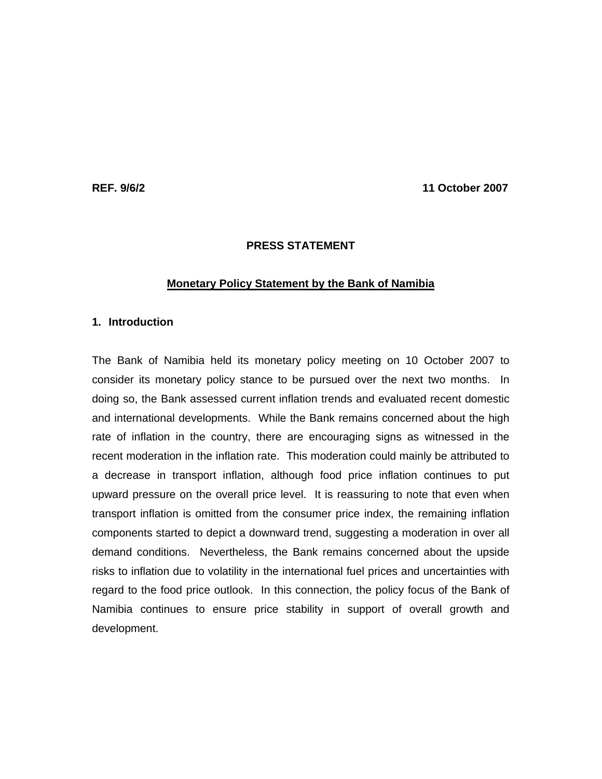**REF. 9/6/2 11 October 2007** 

## **PRESS STATEMENT**

### **Monetary Policy Statement by the Bank of Namibia**

# **1. Introduction**

The Bank of Namibia held its monetary policy meeting on 10 October 2007 to consider its monetary policy stance to be pursued over the next two months. In doing so, the Bank assessed current inflation trends and evaluated recent domestic and international developments. While the Bank remains concerned about the high rate of inflation in the country, there are encouraging signs as witnessed in the recent moderation in the inflation rate. This moderation could mainly be attributed to a decrease in transport inflation, although food price inflation continues to put upward pressure on the overall price level. It is reassuring to note that even when transport inflation is omitted from the consumer price index, the remaining inflation components started to depict a downward trend, suggesting a moderation in over all demand conditions. Nevertheless, the Bank remains concerned about the upside risks to inflation due to volatility in the international fuel prices and uncertainties with regard to the food price outlook. In this connection, the policy focus of the Bank of Namibia continues to ensure price stability in support of overall growth and development.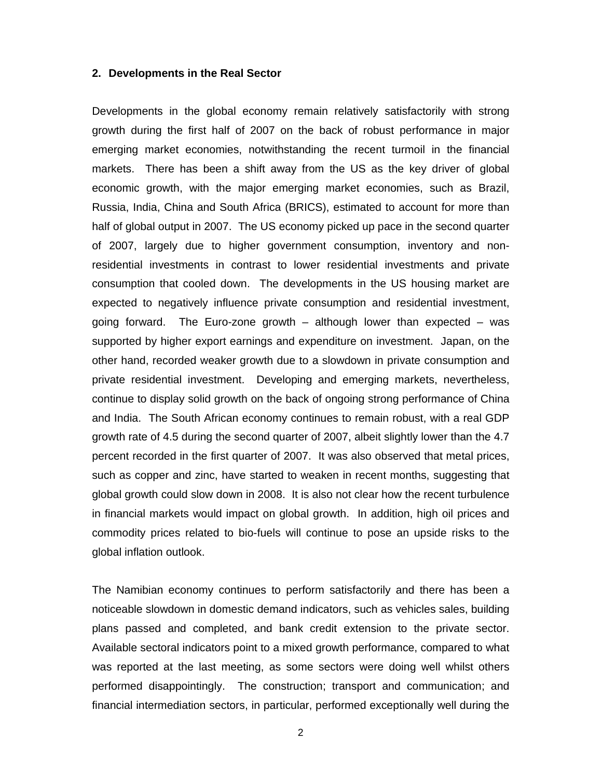#### **2. Developments in the Real Sector**

Developments in the global economy remain relatively satisfactorily with strong growth during the first half of 2007 on the back of robust performance in major emerging market economies, notwithstanding the recent turmoil in the financial markets. There has been a shift away from the US as the key driver of global economic growth, with the major emerging market economies, such as Brazil, Russia, India, China and South Africa (BRICS), estimated to account for more than half of global output in 2007. The US economy picked up pace in the second quarter of 2007, largely due to higher government consumption, inventory and nonresidential investments in contrast to lower residential investments and private consumption that cooled down. The developments in the US housing market are expected to negatively influence private consumption and residential investment, going forward. The Euro-zone growth – although lower than expected – was supported by higher export earnings and expenditure on investment. Japan, on the other hand, recorded weaker growth due to a slowdown in private consumption and private residential investment. Developing and emerging markets, nevertheless, continue to display solid growth on the back of ongoing strong performance of China and India. The South African economy continues to remain robust, with a real GDP growth rate of 4.5 during the second quarter of 2007, albeit slightly lower than the 4.7 percent recorded in the first quarter of 2007. It was also observed that metal prices, such as copper and zinc, have started to weaken in recent months, suggesting that global growth could slow down in 2008. It is also not clear how the recent turbulence in financial markets would impact on global growth. In addition, high oil prices and commodity prices related to bio-fuels will continue to pose an upside risks to the global inflation outlook.

The Namibian economy continues to perform satisfactorily and there has been a noticeable slowdown in domestic demand indicators, such as vehicles sales, building plans passed and completed, and bank credit extension to the private sector. Available sectoral indicators point to a mixed growth performance, compared to what was reported at the last meeting, as some sectors were doing well whilst others performed disappointingly. The construction; transport and communication; and financial intermediation sectors, in particular, performed exceptionally well during the

2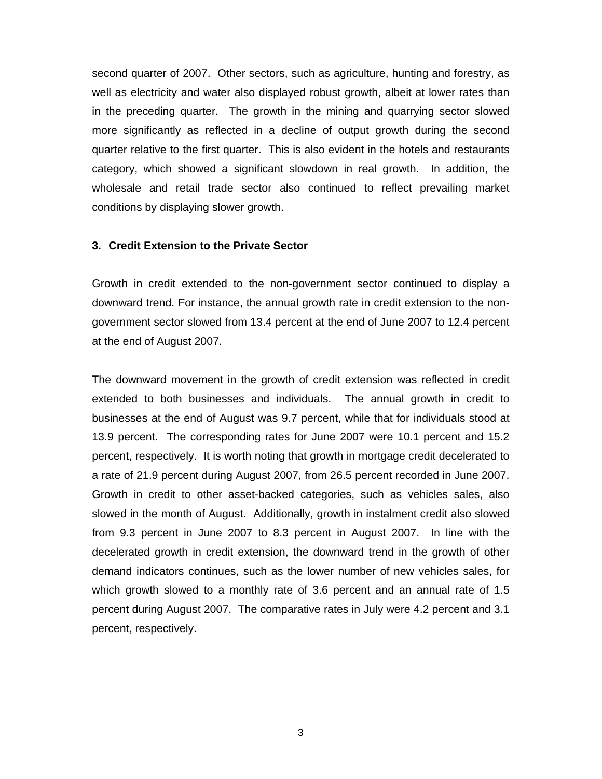second quarter of 2007. Other sectors, such as agriculture, hunting and forestry, as well as electricity and water also displayed robust growth, albeit at lower rates than in the preceding quarter. The growth in the mining and quarrying sector slowed more significantly as reflected in a decline of output growth during the second quarter relative to the first quarter. This is also evident in the hotels and restaurants category, which showed a significant slowdown in real growth. In addition, the wholesale and retail trade sector also continued to reflect prevailing market conditions by displaying slower growth.

### **3. Credit Extension to the Private Sector**

Growth in credit extended to the non-government sector continued to display a downward trend. For instance, the annual growth rate in credit extension to the nongovernment sector slowed from 13.4 percent at the end of June 2007 to 12.4 percent at the end of August 2007.

The downward movement in the growth of credit extension was reflected in credit extended to both businesses and individuals. The annual growth in credit to businesses at the end of August was 9.7 percent, while that for individuals stood at 13.9 percent. The corresponding rates for June 2007 were 10.1 percent and 15.2 percent, respectively. It is worth noting that growth in mortgage credit decelerated to a rate of 21.9 percent during August 2007, from 26.5 percent recorded in June 2007. Growth in credit to other asset-backed categories, such as vehicles sales, also slowed in the month of August. Additionally, growth in instalment credit also slowed from 9.3 percent in June 2007 to 8.3 percent in August 2007. In line with the decelerated growth in credit extension, the downward trend in the growth of other demand indicators continues, such as the lower number of new vehicles sales, for which growth slowed to a monthly rate of 3.6 percent and an annual rate of 1.5 percent during August 2007. The comparative rates in July were 4.2 percent and 3.1 percent, respectively.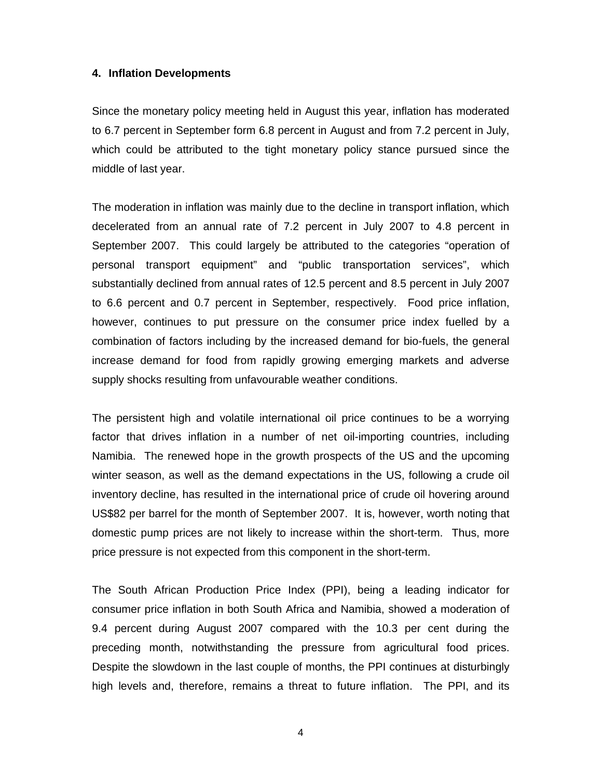## **4. Inflation Developments**

Since the monetary policy meeting held in August this year, inflation has moderated to 6.7 percent in September form 6.8 percent in August and from 7.2 percent in July, which could be attributed to the tight monetary policy stance pursued since the middle of last year.

The moderation in inflation was mainly due to the decline in transport inflation, which decelerated from an annual rate of 7.2 percent in July 2007 to 4.8 percent in September 2007. This could largely be attributed to the categories "operation of personal transport equipment" and "public transportation services", which substantially declined from annual rates of 12.5 percent and 8.5 percent in July 2007 to 6.6 percent and 0.7 percent in September, respectively. Food price inflation, however, continues to put pressure on the consumer price index fuelled by a combination of factors including by the increased demand for bio-fuels, the general increase demand for food from rapidly growing emerging markets and adverse supply shocks resulting from unfavourable weather conditions.

The persistent high and volatile international oil price continues to be a worrying factor that drives inflation in a number of net oil-importing countries, including Namibia. The renewed hope in the growth prospects of the US and the upcoming winter season, as well as the demand expectations in the US, following a crude oil inventory decline, has resulted in the international price of crude oil hovering around US\$82 per barrel for the month of September 2007. It is, however, worth noting that domestic pump prices are not likely to increase within the short-term. Thus, more price pressure is not expected from this component in the short-term.

The South African Production Price Index (PPI), being a leading indicator for consumer price inflation in both South Africa and Namibia, showed a moderation of 9.4 percent during August 2007 compared with the 10.3 per cent during the preceding month, notwithstanding the pressure from agricultural food prices. Despite the slowdown in the last couple of months, the PPI continues at disturbingly high levels and, therefore, remains a threat to future inflation. The PPI, and its

4